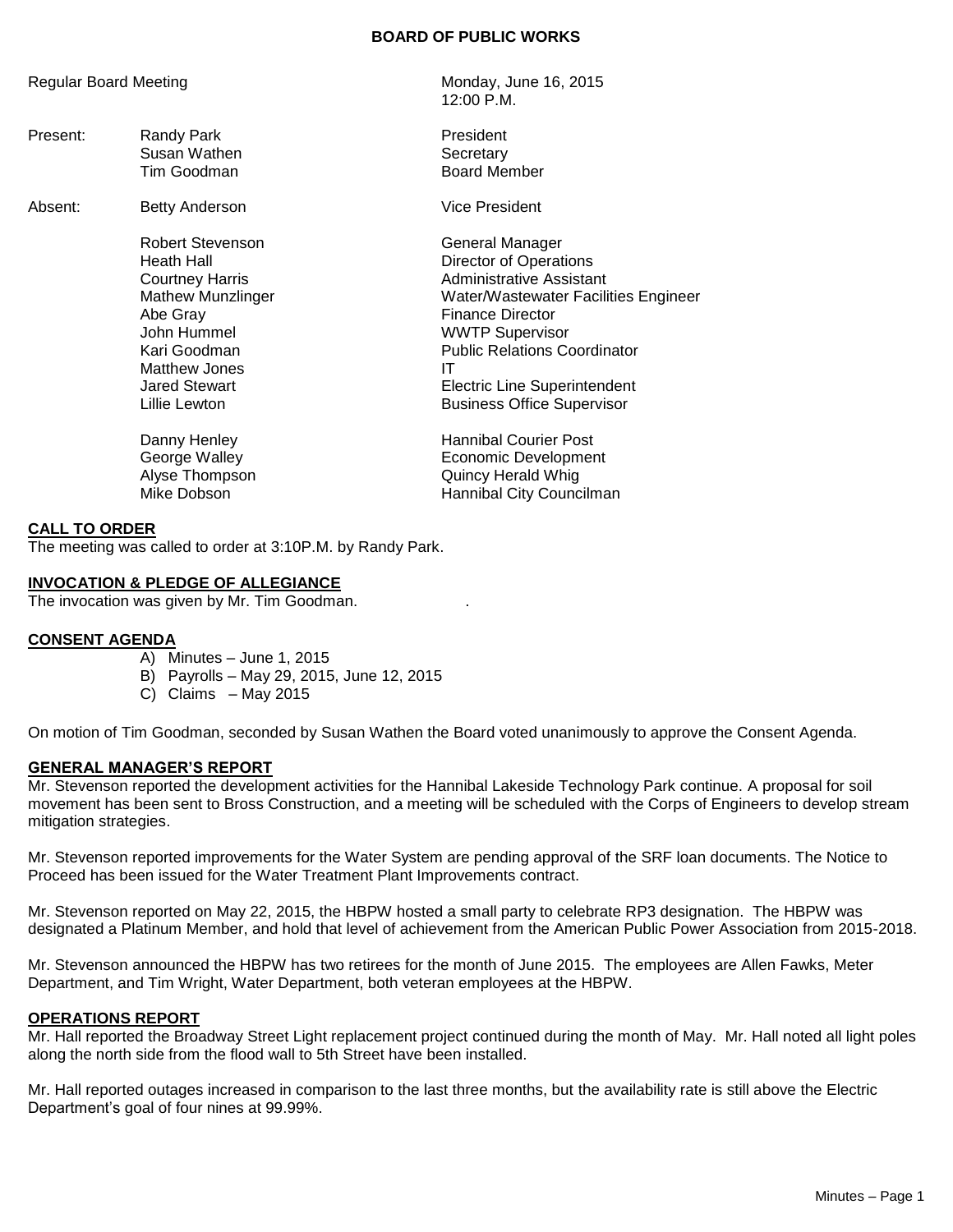# **BOARD OF PUBLIC WORKS**

Present: Randy Park **President** Susan Wathen **Susan Wathen** Tim Goodman and Board Member

> Robert Stevenson General Manager Abe Gray **Finance Director** John Hummel WWTP Supervisor Matthew Jones **IT**

Regular Board Meeting Monday, June 16, 2015 12:00 P.M.

Absent: Betty Anderson **Vice President** 

Heath Hall **Hall** Director of Operations Courtney Harris **Administrative Assistant** Mathew Munzlinger Water/Wastewater Facilities Engineer **Public Relations Coordinator** Jared Stewart Electric Line Superintendent Lillie Lewton **Business** Office Supervisor

Danny Henley **Hannibal Courier Post** George Walley **Example 20** Economic Development Alyse Thompson Quincy Herald Whig Mike Dobson **Hannibal City Councilman** 

#### **CALL TO ORDER**

The meeting was called to order at 3:10P.M. by Randy Park.

#### **INVOCATION & PLEDGE OF ALLEGIANCE**

The invocation was given by Mr. Tim Goodman. .

#### **CONSENT AGENDA**

- A) Minutes June 1, 2015
- B) Payrolls May 29, 2015, June 12, 2015
- C) Claims May 2015

On motion of Tim Goodman, seconded by Susan Wathen the Board voted unanimously to approve the Consent Agenda.

#### **GENERAL MANAGER'S REPORT**

Mr. Stevenson reported the development activities for the Hannibal Lakeside Technology Park continue. A proposal for soil movement has been sent to Bross Construction, and a meeting will be scheduled with the Corps of Engineers to develop stream mitigation strategies.

Mr. Stevenson reported improvements for the Water System are pending approval of the SRF loan documents. The Notice to Proceed has been issued for the Water Treatment Plant Improvements contract.

Mr. Stevenson reported on May 22, 2015, the HBPW hosted a small party to celebrate RP3 designation. The HBPW was designated a Platinum Member, and hold that level of achievement from the American Public Power Association from 2015-2018.

Mr. Stevenson announced the HBPW has two retirees for the month of June 2015. The employees are Allen Fawks, Meter Department, and Tim Wright, Water Department, both veteran employees at the HBPW.

#### **OPERATIONS REPORT**

Mr. Hall reported the Broadway Street Light replacement project continued during the month of May. Mr. Hall noted all light poles along the north side from the flood wall to 5th Street have been installed.

Mr. Hall reported outages increased in comparison to the last three months, but the availability rate is still above the Electric Department's goal of four nines at 99.99%.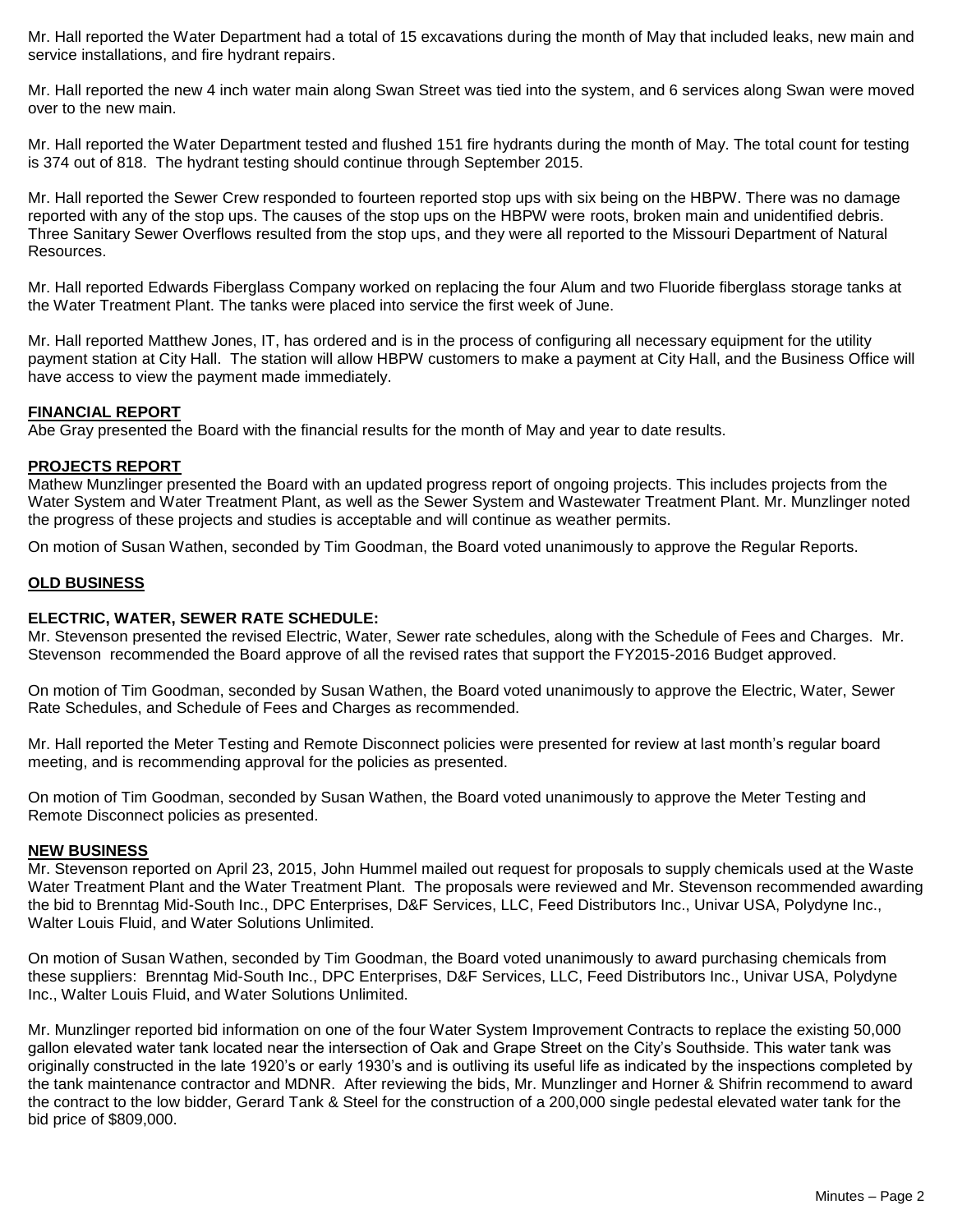Mr. Hall reported the Water Department had a total of 15 excavations during the month of May that included leaks, new main and service installations, and fire hydrant repairs.

Mr. Hall reported the new 4 inch water main along Swan Street was tied into the system, and 6 services along Swan were moved over to the new main.

Mr. Hall reported the Water Department tested and flushed 151 fire hydrants during the month of May. The total count for testing is 374 out of 818. The hydrant testing should continue through September 2015.

Mr. Hall reported the Sewer Crew responded to fourteen reported stop ups with six being on the HBPW. There was no damage reported with any of the stop ups. The causes of the stop ups on the HBPW were roots, broken main and unidentified debris. Three Sanitary Sewer Overflows resulted from the stop ups, and they were all reported to the Missouri Department of Natural Resources.

Mr. Hall reported Edwards Fiberglass Company worked on replacing the four Alum and two Fluoride fiberglass storage tanks at the Water Treatment Plant. The tanks were placed into service the first week of June.

Mr. Hall reported Matthew Jones, IT, has ordered and is in the process of configuring all necessary equipment for the utility payment station at City Hall. The station will allow HBPW customers to make a payment at City Hall, and the Business Office will have access to view the payment made immediately.

#### **FINANCIAL REPORT**

Abe Gray presented the Board with the financial results for the month of May and year to date results.

#### **PROJECTS REPORT**

Mathew Munzlinger presented the Board with an updated progress report of ongoing projects. This includes projects from the Water System and Water Treatment Plant, as well as the Sewer System and Wastewater Treatment Plant. Mr. Munzlinger noted the progress of these projects and studies is acceptable and will continue as weather permits.

On motion of Susan Wathen, seconded by Tim Goodman, the Board voted unanimously to approve the Regular Reports.

#### **OLD BUSINESS**

#### **ELECTRIC, WATER, SEWER RATE SCHEDULE:**

Mr. Stevenson presented the revised Electric, Water, Sewer rate schedules, along with the Schedule of Fees and Charges. Mr. Stevenson recommended the Board approve of all the revised rates that support the FY2015-2016 Budget approved.

On motion of Tim Goodman, seconded by Susan Wathen, the Board voted unanimously to approve the Electric, Water, Sewer Rate Schedules, and Schedule of Fees and Charges as recommended.

Mr. Hall reported the Meter Testing and Remote Disconnect policies were presented for review at last month's regular board meeting, and is recommending approval for the policies as presented.

On motion of Tim Goodman, seconded by Susan Wathen, the Board voted unanimously to approve the Meter Testing and Remote Disconnect policies as presented.

#### **NEW BUSINESS**

Mr. Stevenson reported on April 23, 2015, John Hummel mailed out request for proposals to supply chemicals used at the Waste Water Treatment Plant and the Water Treatment Plant. The proposals were reviewed and Mr. Stevenson recommended awarding the bid to Brenntag Mid-South Inc., DPC Enterprises, D&F Services, LLC, Feed Distributors Inc., Univar USA, Polydyne Inc., Walter Louis Fluid, and Water Solutions Unlimited.

On motion of Susan Wathen, seconded by Tim Goodman, the Board voted unanimously to award purchasing chemicals from these suppliers: Brenntag Mid-South Inc., DPC Enterprises, D&F Services, LLC, Feed Distributors Inc., Univar USA, Polydyne Inc., Walter Louis Fluid, and Water Solutions Unlimited.

Mr. Munzlinger reported bid information on one of the four Water System Improvement Contracts to replace the existing 50,000 gallon elevated water tank located near the intersection of Oak and Grape Street on the City's Southside. This water tank was originally constructed in the late 1920's or early 1930's and is outliving its useful life as indicated by the inspections completed by the tank maintenance contractor and MDNR. After reviewing the bids, Mr. Munzlinger and Horner & Shifrin recommend to award the contract to the low bidder, Gerard Tank & Steel for the construction of a 200,000 single pedestal elevated water tank for the bid price of \$809,000.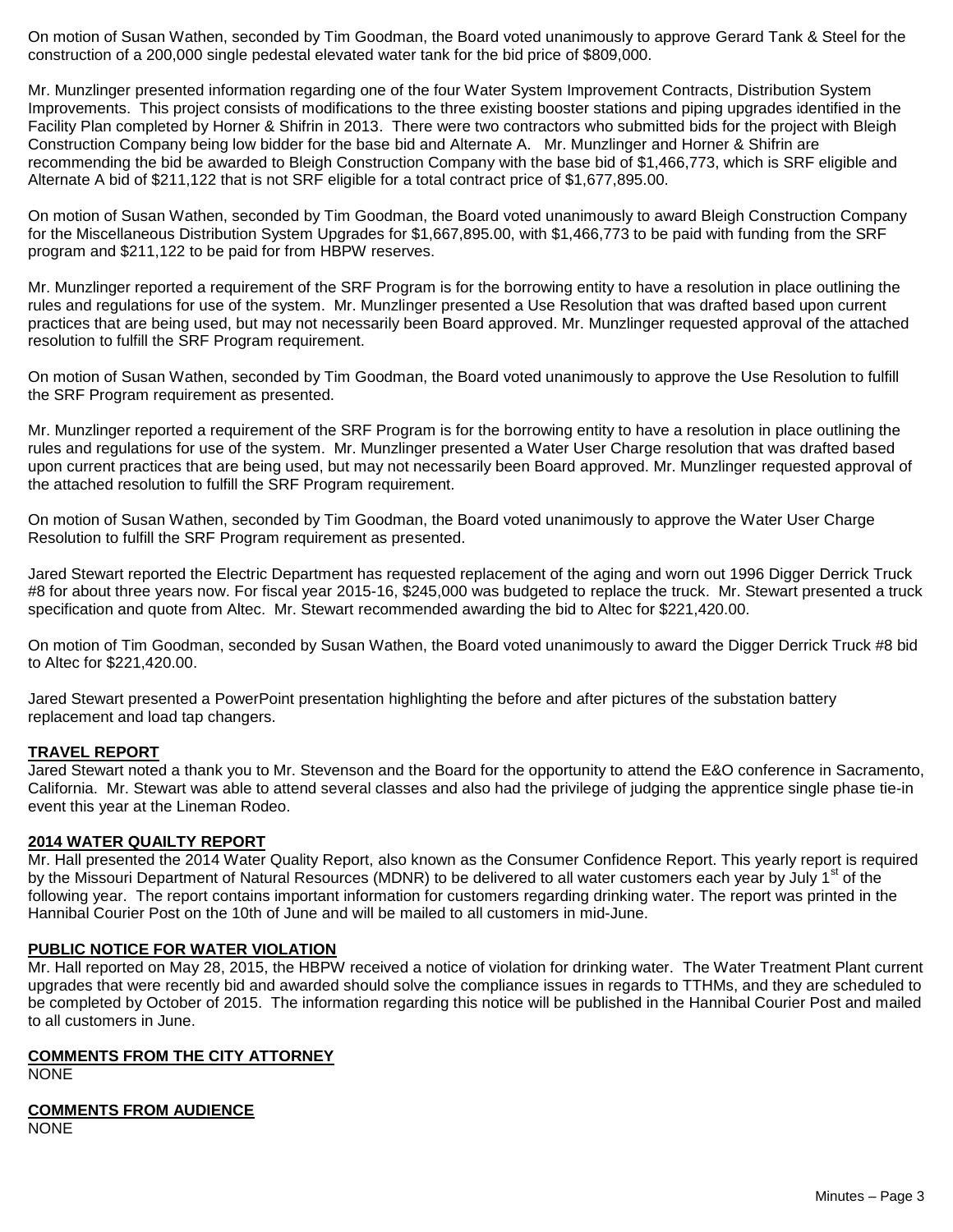On motion of Susan Wathen, seconded by Tim Goodman, the Board voted unanimously to approve Gerard Tank & Steel for the construction of a 200,000 single pedestal elevated water tank for the bid price of \$809,000.

Mr. Munzlinger presented information regarding one of the four Water System Improvement Contracts, Distribution System Improvements. This project consists of modifications to the three existing booster stations and piping upgrades identified in the Facility Plan completed by Horner & Shifrin in 2013. There were two contractors who submitted bids for the project with Bleigh Construction Company being low bidder for the base bid and Alternate A. Mr. Munzlinger and Horner & Shifrin are recommending the bid be awarded to Bleigh Construction Company with the base bid of \$1,466,773, which is SRF eligible and Alternate A bid of \$211,122 that is not SRF eligible for a total contract price of \$1,677,895.00.

On motion of Susan Wathen, seconded by Tim Goodman, the Board voted unanimously to award Bleigh Construction Company for the Miscellaneous Distribution System Upgrades for \$1,667,895.00, with \$1,466,773 to be paid with funding from the SRF program and \$211,122 to be paid for from HBPW reserves.

Mr. Munzlinger reported a requirement of the SRF Program is for the borrowing entity to have a resolution in place outlining the rules and regulations for use of the system. Mr. Munzlinger presented a Use Resolution that was drafted based upon current practices that are being used, but may not necessarily been Board approved. Mr. Munzlinger requested approval of the attached resolution to fulfill the SRF Program requirement.

On motion of Susan Wathen, seconded by Tim Goodman, the Board voted unanimously to approve the Use Resolution to fulfill the SRF Program requirement as presented.

Mr. Munzlinger reported a requirement of the SRF Program is for the borrowing entity to have a resolution in place outlining the rules and regulations for use of the system. Mr. Munzlinger presented a Water User Charge resolution that was drafted based upon current practices that are being used, but may not necessarily been Board approved. Mr. Munzlinger requested approval of the attached resolution to fulfill the SRF Program requirement.

On motion of Susan Wathen, seconded by Tim Goodman, the Board voted unanimously to approve the Water User Charge Resolution to fulfill the SRF Program requirement as presented.

Jared Stewart reported the Electric Department has requested replacement of the aging and worn out 1996 Digger Derrick Truck #8 for about three years now. For fiscal year 2015-16, \$245,000 was budgeted to replace the truck. Mr. Stewart presented a truck specification and quote from Altec. Mr. Stewart recommended awarding the bid to Altec for \$221,420.00.

On motion of Tim Goodman, seconded by Susan Wathen, the Board voted unanimously to award the Digger Derrick Truck #8 bid to Altec for \$221,420.00.

Jared Stewart presented a PowerPoint presentation highlighting the before and after pictures of the substation battery replacement and load tap changers.

## **TRAVEL REPORT**

Jared Stewart noted a thank you to Mr. Stevenson and the Board for the opportunity to attend the E&O conference in Sacramento, California. Mr. Stewart was able to attend several classes and also had the privilege of judging the apprentice single phase tie-in event this year at the Lineman Rodeo.

## **2014 WATER QUAILTY REPORT**

Mr. Hall presented the 2014 Water Quality Report, also known as the Consumer Confidence Report. This yearly report is required by the Missouri Department of Natural Resources (MDNR) to be delivered to all water customers each year by July 1<sup>st</sup> of the following year. The report contains important information for customers regarding drinking water. The report was printed in the Hannibal Courier Post on the 10th of June and will be mailed to all customers in mid-June.

## **PUBLIC NOTICE FOR WATER VIOLATION**

Mr. Hall reported on May 28, 2015, the HBPW received a notice of violation for drinking water. The Water Treatment Plant current upgrades that were recently bid and awarded should solve the compliance issues in regards to TTHMs, and they are scheduled to be completed by October of 2015. The information regarding this notice will be published in the Hannibal Courier Post and mailed to all customers in June.

## **COMMENTS FROM THE CITY ATTORNEY**

NONE

# **COMMENTS FROM AUDIENCE**

NONE